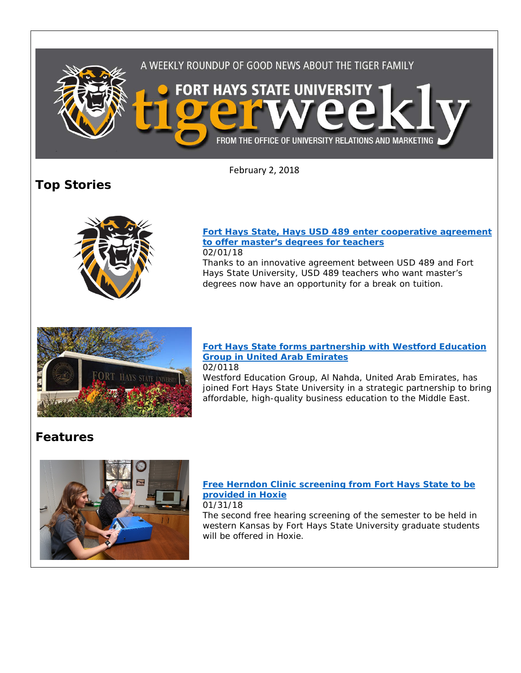

February 2, 2018

# **Top Stories**



#### **[Fort Hays State, Hays USD 489 enter cooperative agreement](http://www.fhsu.edu/news/2018/02/fort-hays-state,-hays-usd-489-enter-cooperative-agreement-to-offer-masters-degrees-for-teachers.html)  [to offer master's degrees for teachers](http://www.fhsu.edu/news/2018/02/fort-hays-state,-hays-usd-489-enter-cooperative-agreement-to-offer-masters-degrees-for-teachers.html)** 02/01/18

Thanks to an innovative agreement between USD 489 and Fort Hays State University, USD 489 teachers who want master's degrees now have an opportunity for a break on tuition.



#### **[Fort Hays State forms partnership with Westford Education](http://www.fhsu.edu/news/2018/02/fort-hays-state-forms-partnership-with-westford-education-group-in-united-arab-emirates.html)  [Group in United Arab Emirates](http://www.fhsu.edu/news/2018/02/fort-hays-state-forms-partnership-with-westford-education-group-in-united-arab-emirates.html)** 02/0118

Westford Education Group, Al Nahda, United Arab Emirates, has joined Fort Hays State University in a strategic partnership to bring affordable, high-quality business education to the Middle East.

## **Features**



## **[Free Herndon Clinic screening from Fort Hays State to be](http://www.fhsu.edu/news/2018/01/free-herndon-clinic-screening-from-fort-hays-state-to-be-provided-in-hoxie.html)  [provided in Hoxie](http://www.fhsu.edu/news/2018/01/free-herndon-clinic-screening-from-fort-hays-state-to-be-provided-in-hoxie.html)**

01/31/18

The second free hearing screening of the semester to be held in western Kansas by Fort Hays State University graduate students will be offered in Hoxie.